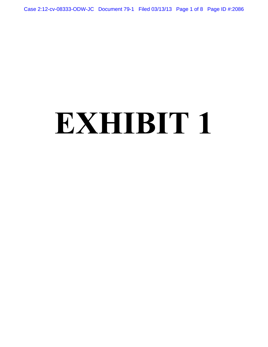Case 2:12-cv-08333-ODW-JC Document 79-1 Filed 03/13/13 Page 1 of 8 Page ID #:2086

# **EXHIBIT 1**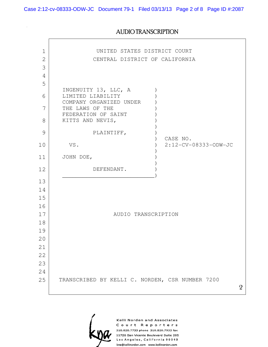$\sim$ 

 $\mathsf{r}$ 

## AUDIO TRANSCRIPTION

| 1              | UNITED STATES DISTRICT COURT                    |  |              |
|----------------|-------------------------------------------------|--|--------------|
| $\overline{2}$ | CENTRAL DISTRICT OF CALIFORNIA                  |  |              |
| 3              |                                                 |  |              |
| 4              |                                                 |  |              |
| 5              |                                                 |  |              |
| 6              | INGENUITY 13, LLC, A<br>LIMITED LIABILITY       |  |              |
| 7              | COMPANY ORGANIZED UNDER<br>THE LAWS OF THE      |  |              |
|                | FEDERATION OF SAINT                             |  |              |
| 8              | KITTS AND NEVIS,                                |  |              |
| 9              | PLAINTIFF,<br>CASE NO.                          |  |              |
| 10             | 2:12-CV-08333-ODW-JC<br>VS.                     |  |              |
| 11             | JOHN DOE,                                       |  |              |
| 12             | DEFENDANT.                                      |  |              |
| 13             |                                                 |  |              |
| 14             |                                                 |  |              |
| 15             |                                                 |  |              |
| 16             |                                                 |  |              |
| 17             | AUDIO TRANSCRIPTION                             |  |              |
| 18             |                                                 |  |              |
| 19             |                                                 |  |              |
| 20             |                                                 |  |              |
| 21             |                                                 |  |              |
| 22             |                                                 |  |              |
| 23             |                                                 |  |              |
| 24             |                                                 |  |              |
| 25             | TRANSCRIBED BY KELLI C. NORDEN, CSR NUMBER 7200 |  | $\mathbf{2}$ |
|                |                                                 |  |              |



Kelli Norden and Associates Court Reporters 310.820.7733 phone 310.820.7933 fax 11726 San Vicente Boulevard Suite 205 Los Angeles, California 90049 kna@kellinorden.com www.kellinorden.com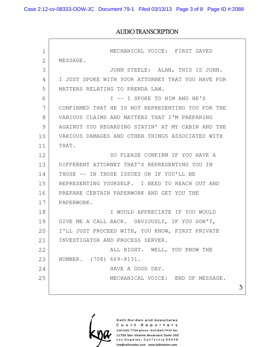Case 2:12-cv-08333-ODW-JC Document 79-1 Filed 03/13/13 Page 3 of 8 Page ID #:2088

 $\sqrt{2}$ 

### AUDIO TRANSCRIPTION

| $\mathbf 1$    | MECHANICAL VOICE: FIRST SAVED                     |  |
|----------------|---------------------------------------------------|--|
| $\overline{2}$ | MESSAGE.                                          |  |
| 3              | JOHN STEELE: ALAN, THIS IS JOHN.                  |  |
| 4              | I JUST SPOKE WITH YOUR ATTORNEY THAT YOU HAVE FOR |  |
| 5              | MATTERS RELATING TO PRENDA LAW.                   |  |
| 6              | I -- I SPOKE TO HIM AND HE'S                      |  |
| 7              | CONFIRMED THAT HE IS NOT REPRESENTING YOU FOR THE |  |
| 8              | VARIOUS CLAIMS AND MATTERS THAT I'M PREPARING     |  |
| 9              | AGAINST YOU REGARDING STAYIN' AT MY CABIN AND THE |  |
| 10             | VARIOUS DAMAGES AND OTHER THINGS ASSOCIATED WITH  |  |
| 11             | THAT.                                             |  |
| 12             | SO PLEASE CONFIRM IF YOU HAVE A                   |  |
| 13             | DIFFERENT ATTORNEY THAT'S REPRESENTING YOU IN     |  |
| 14             | THOSE -- IN THOSE ISSUES OR IF YOU'LL BE          |  |
| 15             | REPRESENTING YOURSELF. I NEED TO REACH OUT AND    |  |
| 16             | PREPARE CERTAIN PAPERWORK AND GET YOU THE         |  |
| 17             | PAPERWORK.                                        |  |
| 18             | I WOULD APPRECIATE IF YOU WOULD                   |  |
| 19             | GIVE ME A CALL BACK. OBVIOUSLY, IF YOU DON'T,     |  |
| 20             | I'LL JUST PROCEED WITH, YOU KNOW, FIRST PRIVATE   |  |
| 21             | INVESTIGATOR AND PROCESS SERVER.                  |  |
| 22             | ALL RIGHT. WELL, YOU KNOW THE                     |  |
| 23             | NUMBER. (708) 669-8131.                           |  |
| 24             | HAVE A GOOD DAY.                                  |  |
| 25             | MECHANICAL VOICE: END OF MESSAGE.                 |  |
|                |                                                   |  |



Kelli Norden and Associates Court Reporters 310.820.7733 phone 310.820.7933 fax 11726 San Vicente Boulevard Suite 205 Los Angeles, California 90049 kna@kellinorden.com www.kellinorden.com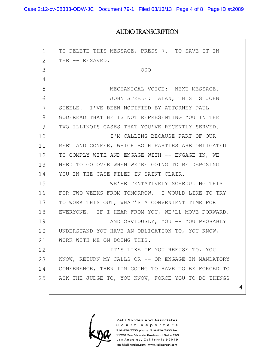Case 2:12-cv-08333-ODW-JC Document 79-1 Filed 03/13/13 Page 4 of 8 Page ID #:2089

### AUDIO TRANSCRIPTION

| 1  | TO DELETE THIS MESSAGE, PRESS 7. TO SAVE IT IN     |  |
|----|----------------------------------------------------|--|
| 2  | THE -- RESAVED.                                    |  |
| 3  | $-000-$                                            |  |
| 4  |                                                    |  |
| 5  | MECHANICAL VOICE: NEXT MESSAGE.                    |  |
| 6  | JOHN STEELE: ALAN, THIS IS JOHN                    |  |
| 7  | STEELE. I'VE BEEN NOTIFIED BY ATTORNEY PAUL        |  |
| 8  | GODFREAD THAT HE IS NOT REPRESENTING YOU IN THE    |  |
| 9  | TWO ILLINOIS CASES THAT YOU'VE RECENTLY SERVED.    |  |
| 10 | I'M CALLING BECAUSE PART OF OUR                    |  |
| 11 | MEET AND CONFER, WHICH BOTH PARTIES ARE OBLIGATED  |  |
| 12 | TO COMPLY WITH AND ENGAGE WITH -- ENGAGE IN, WE    |  |
| 13 | NEED TO GO OVER WHEN WE'RE GOING TO BE DEPOSING    |  |
| 14 | YOU IN THE CASE FILED IN SAINT CLAIR.              |  |
| 15 | WE'RE TENTATIVELY SCHEDULING THIS                  |  |
| 16 | FOR TWO WEEKS FROM TOMORROW. I WOULD LIKE TO TRY   |  |
| 17 | TO WORK THIS OUT, WHAT'S A CONVENIENT TIME FOR     |  |
| 18 | EVERYONE. IF I HEAR FROM YOU, WE'LL MOVE FORWARD.  |  |
| 19 | AND OBVIOUSLY, YOU -- YOU PROBABLY                 |  |
| 20 | UNDERSTAND YOU HAVE AN OBLIGATION TO, YOU KNOW,    |  |
| 21 | WORK WITH ME ON DOING THIS.                        |  |
| 22 | IT'S LIKE IF YOU REFUSE TO, YOU                    |  |
| 23 | KNOW, RETURN MY CALLS OR -- OR ENGAGE IN MANDATORY |  |
| 24 | CONFERENCE, THEN I'M GOING TO HAVE TO BE FORCED TO |  |
| 25 | ASK THE JUDGE TO, YOU KNOW, FORCE YOU TO DO THINGS |  |
|    |                                                    |  |

Kelli Norden and Associates Court Reporters 310.820.7733 phone 310.820.7933 fax 11726 San Vicente Boulevard Suite 205 Los Angeles, California 90049 kna@kellinorden.com www.kellinorden.com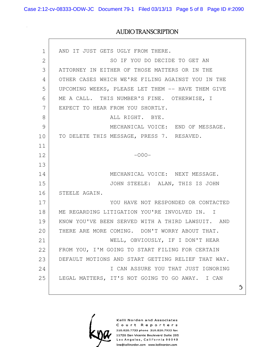Case 2:12-cv-08333-ODW-JC Document 79-1 Filed 03/13/13 Page 5 of 8 Page ID #:2090

### AUDIO TRANSCRIPTION

| $\mathbf 1$  | AND IT JUST GETS UGLY FROM THERE.                  |  |
|--------------|----------------------------------------------------|--|
| $\mathbf{2}$ | SO IF YOU DO DECIDE TO GET AN                      |  |
| 3            | ATTORNEY IN EITHER OF THOSE MATTERS OR IN THE      |  |
| 4            | OTHER CASES WHICH WE'RE FILING AGAINST YOU IN THE  |  |
| 5            | UPCOMING WEEKS, PLEASE LET THEM -- HAVE THEM GIVE  |  |
| 6            | ME A CALL. THIS NUMBER'S FINE. OTHERWISE, I        |  |
| 7            | EXPECT TO HEAR FROM YOU SHORTLY.                   |  |
| 8            | ALL RIGHT. BYE.                                    |  |
| 9            | MECHANICAL VOICE: END OF MESSAGE.                  |  |
| 10           | TO DELETE THIS MESSAGE, PRESS 7. RESAVED.          |  |
| 11           |                                                    |  |
| 12           | $-000-$                                            |  |
| 13           |                                                    |  |
| 14           | MECHANICAL VOICE: NEXT MESSAGE.                    |  |
| 15           | JOHN STEELE: ALAN, THIS IS JOHN                    |  |
| 16           | STEELE AGAIN.                                      |  |
| 17           | YOU HAVE NOT RESPONDED OR CONTACTED                |  |
| 18           | ME REGARDING LITIGATION YOU'RE INVOLVED IN. I      |  |
| 19           | KNOW YOU'VE BEEN SERVED WITH A THIRD LAWSUIT. AND  |  |
| 20           | THERE ARE MORE COMING. DON'T WORRY ABOUT THAT.     |  |
| 21           | WELL, OBVIOUSLY, IF I DON'T HEAR                   |  |
| 22           | FROM YOU, I'M GOING TO START FILING FOR CERTAIN    |  |
| 23           | DEFAULT MOTIONS AND START GETTING RELIEF THAT WAY. |  |
| 24           | I CAN ASSURE YOU THAT JUST IGNORING                |  |
| 25           | LEGAL MATTERS, IT'S NOT GOING TO GO AWAY. I CAN    |  |
|              |                                                    |  |



Kelli Norden and Associates Court Reporters 310.820.7733 phone 310.820.7933 fax 11726 San Vicente Boulevard Suite 205 Los Angeles, California 90049 kna@kellinorden.com www.kellinorden.com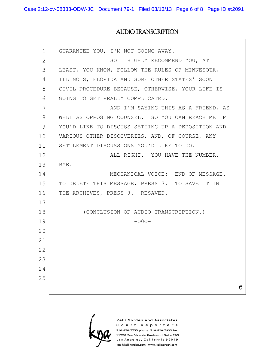Case 2:12-cv-08333-ODW-JC Document 79-1 Filed 03/13/13 Page 6 of 8 Page ID #:2091

### AUDIO TRANSCRIPTION

| $\mathbf 1$ | GUARANTEE YOU, I'M NOT GOING AWAY.                |  |
|-------------|---------------------------------------------------|--|
| 2           | SO I HIGHLY RECOMMEND YOU, AT                     |  |
| 3           | LEAST, YOU KNOW, FOLLOW THE RULES OF MINNESOTA,   |  |
| 4           | ILLINOIS, FLORIDA AND SOME OTHER STATES' SOON     |  |
| 5           | CIVIL PROCEDURE BECAUSE, OTHERWISE, YOUR LIFE IS  |  |
| 6           | GOING TO GET REALLY COMPLICATED.                  |  |
| 7           | AND I'M SAYING THIS AS A FRIEND, AS               |  |
| 8           | WELL AS OPPOSING COUNSEL. SO YOU CAN REACH ME IF  |  |
| 9           | YOU'D LIKE TO DISCUSS SETTING UP A DEPOSITION AND |  |
| 10          | VARIOUS OTHER DISCOVERIES, AND, OF COURSE, ANY    |  |
| 11          | SETTLEMENT DISCUSSIONS YOU'D LIKE TO DO.          |  |
| 12          | ALL RIGHT. YOU HAVE THE NUMBER.                   |  |
| 13          | BYE.                                              |  |
| 14          | MECHANICAL VOICE: END OF MESSAGE.                 |  |
| 15          | TO DELETE THIS MESSAGE, PRESS 7. TO SAVE IT IN    |  |
| 16          | THE ARCHIVES, PRESS 9. RESAVED.                   |  |
| 17          |                                                   |  |
| 18          | (CONCLUSION OF AUDIO TRANSCRIPTION.)              |  |
| 19          | $-000-$                                           |  |
| 20          |                                                   |  |
| 21          |                                                   |  |
| 22          |                                                   |  |
| 23          |                                                   |  |
| 24          |                                                   |  |
| 25          |                                                   |  |
|             |                                                   |  |



Kelli Norden and Associates Court Reporters 310.820.7733 phone 310.820.7933 fax 11726 San Vicente Boulevard Suite 205 Los Angeles, California 90049 kna@kellinorden.com www.kellinorden.com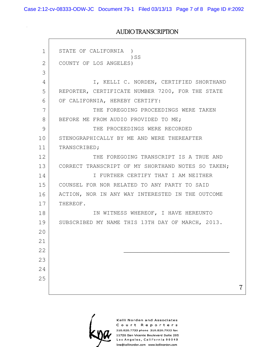Case 2:12-cv-08333-ODW-JC Document 79-1 Filed 03/13/13 Page 7 of 8 Page ID #:2092

### AUDIO TRANSCRIPTION

| 1              | STATE OF CALIFORNIA<br>$\lambda$                   |
|----------------|----------------------------------------------------|
| $\overline{2}$ | $)$ SS<br>COUNTY OF LOS ANGELES)                   |
| 3              |                                                    |
| 4              | I, KELLI C. NORDEN, CERTIFIED SHORTHAND            |
| 5              | REPORTER, CERTIFICATE NUMBER 7200, FOR THE STATE   |
| 6              | OF CALIFORNIA, HEREBY CERTIFY:                     |
| 7              | THE FOREGOING PROCEEDINGS WERE TAKEN               |
| 8              | BEFORE ME FROM AUDIO PROVIDED TO ME;               |
| 9              | THE PROCEEDINGS WERE RECORDED                      |
| 10             | STENOGRAPHICALLY BY ME AND WERE THEREAFTER         |
| 11             | TRANSCRIBED;                                       |
| 12             | THE FOREGOING TRANSCRIPT IS A TRUE AND             |
| 13             | CORRECT TRANSCRIPT OF MY SHORTHAND NOTES SO TAKEN; |
| 14             | I FURTHER CERTIFY THAT I AM NEITHER                |
| 15             | COUNSEL FOR NOR RELATED TO ANY PARTY TO SAID       |
| 16             | ACTION, NOR IN ANY WAY INTERESTED IN THE OUTCOME   |
| 17             | THEREOF.                                           |
| 18             | IN WITNESS WHEREOF, I HAVE HEREUNTO                |
| 19             | SUBSCRIBED MY NAME THIS 13TH DAY OF MARCH, 2013.   |
| 20             |                                                    |
| 21             |                                                    |
| 22             |                                                    |
| 23             |                                                    |
| 24             |                                                    |
| 25             |                                                    |
|                |                                                    |



Kelli Norden and Associates Court Reporters 310.820.7733 phone 310.820.7933 fax 11726 San Vicente Boulevard Suite 205 Los Angeles, California 90049 kna@kellinorden.com www.kellinorden.com